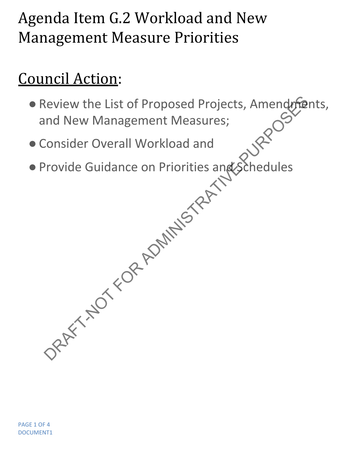## Agenda Item G.2 Workload and New Management Measure Priorities

## Council Action:

- . Review the List of Proposed Projects, Amendments, and New Management Measures; Review the List of Proposed Projects, Amendment<br>
Ind New Management Measures;<br>
Consider Overall Workload and<br>
Provide Guidance on Priorities and Schedules<br>
Provide Guidance on Priorities and Schedules<br>
Provide Culture of P
- ●Consider Overall Workload and
- Provide Guidance on Priorities and Schedules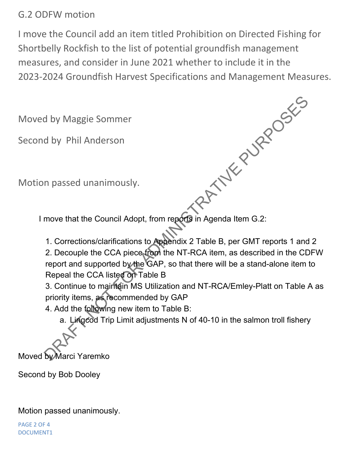## G.2 ODFW motion

I move the Council add an item titled Prohibition on Directed Fishing for Shortbelly Rockfish to the list of potential groundfish management measures, and consider in June 2021 whether to include it in the 2023-2024 Groundfish Harvest Specifications and Management Measures.

Moved by Maggie Sommer

Second by Phil Anderson

Motion passed unanimously.

I move that the Council Adopt, from reports in Agenda Item G.2: PATTYK PURPOSKE

1. Corrections/clarifications to Appendix 2 Table B, per GMT reports 1 and 2 2. Decouple the CCA piece from the NT-RCA item, as described in the CDFW report and supported by the GAP, so that there will be a stand-alone item to Repeal the CCA listed on Table B

3. Continue to maintain MS Utilization and NT-RCA/Emley-Platt on Table A as priority items, as recommended by GAP

4. Add the following new item to Table B:

a. Lingcod Trip Limit adjustments N of 40-10 in the salmon troll fishery

Moved by Marci Yaremko

Second by Bob Dooley

Motion passed unanimously.

PAGE 2 OF 4 DOCUMENT1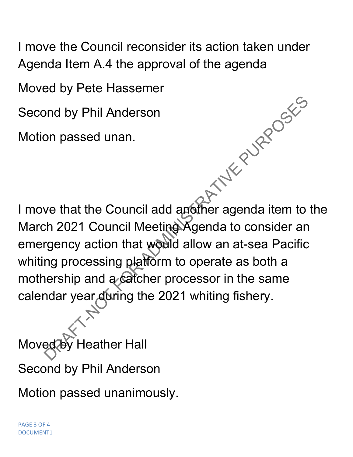I move the Council reconsider its action taken under Agenda Item A.4 the approval of the agenda

Moved by Pete Hassemer

Second by Phil Anderson

Motion passed unan.

I move that the Council add another agenda item to the March 2021 Council Meeting Agenda to consider an emergency action that would allow an at-sea Pacific whiting processing platform to operate as both a mothership and a catcher processor in the same calendar year during the 2021 whiting fishery. DRAFT-NOTES

Moved by Heather Hall Second by Phil Anderson

Motion passed unanimously.